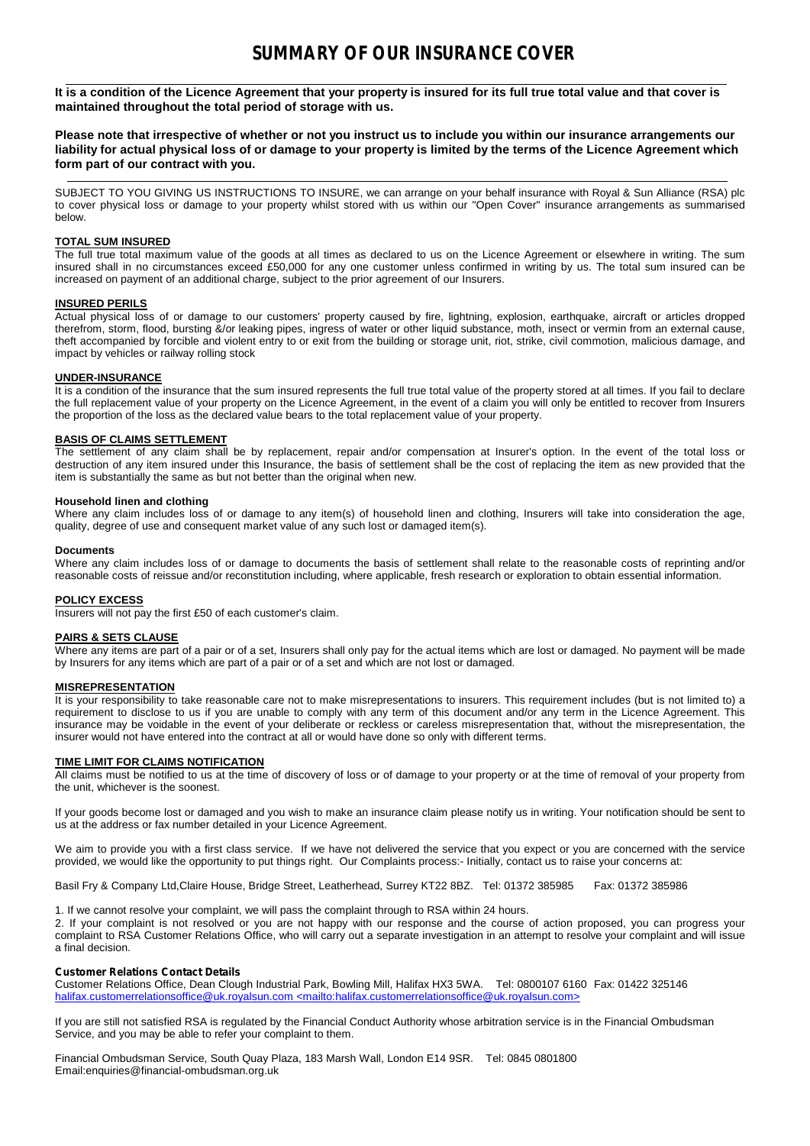It is a condition of the Licence Agreement that your property is insured for its full true total value and that cover is maintained throughout the total period of storage with us.<br>Please note that irrespective of whether or not you instruct us to include you within our insurance arrangements our

liability for actual physical loss of or damage to your property is limited by the terms of the Licence Agreement which **form part of our contract with you.**

SUBJECT TO YOU GIVING US INSTRUCTIONS TO INSURE, we can arrange on your behalf insurance with Royal & Sun Alliance (RSA) plc to cover physical loss or damage to your property whilst stored with us within our "Open Cover" insurance arrangements as summarised below.

### **TOTAL SUM INSURED**

The full true total maximum value of the goods at all times as declared to us on the Licence Agreement or elsewhere in writing. The sum insured shall in no circumstances exceed £50,000 for any one customer unless confirmed in writing by us. The total sum insured can be increased on payment of an additional charge, subject to the prior agreement of our Insurers.

# **INSURED PERILS**

Actual physical loss of or damage to our customers' property caused by fire, lightning, explosion, earthquake, aircraft or articles dropped therefrom, storm, flood, bursting &/or leaking pipes, ingress ofwater or other liquid substance, moth, insect or vermin from anexternal cause, theft accompanied by forcible and violent entry to orexit from the building orstorage unit, riot, strike, civil commotion, malicious damage, and impact by vehicles or railway rolling stock

# **UNDER-INSURANCE**

It is a condition of the insurance that the sum insured represents the full true total value of the property stored at all times. If you fail to declare the full replacement value of your property on the Licence Agreement, in the event of a claim you will only be entitled to recover from Insurers the proportion of the loss as the declared value bears to the total replacement value of your property.

## **BASIS OF CLAIMS SETTLEMENT**

The settlement of any claim shall be by replacement, repair and/or compensation at Insurer's option. In the event of the total loss or destruction of any item insured under this Insurance, the basis of settlement shall be the cost of replacing the item as new provided that the item is substantially the same as but not better than the original when new.

# **Household linen and clothing**

Where any claim includes loss of or damage to any item(s) of household linen and clothing, Insurers will take into consideration the age, quality, degree of use and consequent market value of any such lost or damaged item(s).

### **Documents**

Where any claim includes loss of or damage to documents the basis of settlement shall relate to the reasonable costs of reprinting and/or reasonable costs ofreissue and/or reconstitution including, where applicable, fresh research orexploration to obtain essential information.

### **POLICY EXCESS**

Insurers will not pay the first £50 of each customer's claim.

### **PAIRS & SETS CLAUSE**

Where any items are part of a pair or of a set, Insurers shall only pay for the actual items which are lost or damaged. No payment will be made by Insurers for any items which are part of a pair or of a set and which are not lost or damaged.

### **MISREPRESENTATION**

It is your responsibility to take reasonable care not to make misrepresentations to insurers. This requirement includes (but is not limited to) a requirement to disclose to us if you are unable to comply with any term of this document and/or any term in the Licence Agreement. This insurance may be voidable in the event of your deliberate or reckless or careless misrepresentation that, without the misrepresentation, the insurer would not have entered into the contract at all or would have done so only with different terms.

### **TIME LIMIT FOR CLAIMS NOTIFICATION**

All claims must be notified to us at the time of discovery of loss or of damage to your property or at the time of removal of your property from the unit, whichever is the soonest.

If your goods become lost or damaged and you wish to make an insurance claim please notify us in writing. Your notification should be sent to us at the address or fax number detailed in your Licence Agreement.

We aim to provide you with a first class service. If we have not delivered the service that you expect or you are concerned with the service provided, we would like the opportunity to put things right. Our Complaints process:- Initially, contact us to raise your concerns at:

Basil Fry & Company Ltd,Claire House, Bridge Street, Leatherhead, Surrey KT22 8BZ. Tel: 01372 385985 Fax: 01372 385986

1. If we cannot resolve your complaint, we will pass the complaint through to RSA within 24 hours.

2. If your complaint is not resolved or you are not happy with our response and the course of action proposed, you can progress your complaint to RSA Customer Relations Office, who will carry out a separate investigation in an attempt to resolve your complaint and will issue a final decision.

### **Customer Relations Contact Details**

Customer Relations Office, Dean Clough Industrial Park, Bowling Mill, Halifax HX3 5WA. Tel: 0800107 6160 Fax: 01422 325146 halifax.customerrelationsoffice@uk.royalsun.com <mailto:halifax.customerrelationsoffice@uk.royalsun.com>

If you are still not satisfied RSA is regulated by the Financial Conduct Authority whose arbitration service is in the Financial Ombudsman Service, and you may be able to refer your complaint to them.

Financial Ombudsman Service, South Quay Plaza, 183 Marsh Wall, London E14 9SR. Tel: 0845 0801800 Email:enquiries@financial-ombudsman.org.uk